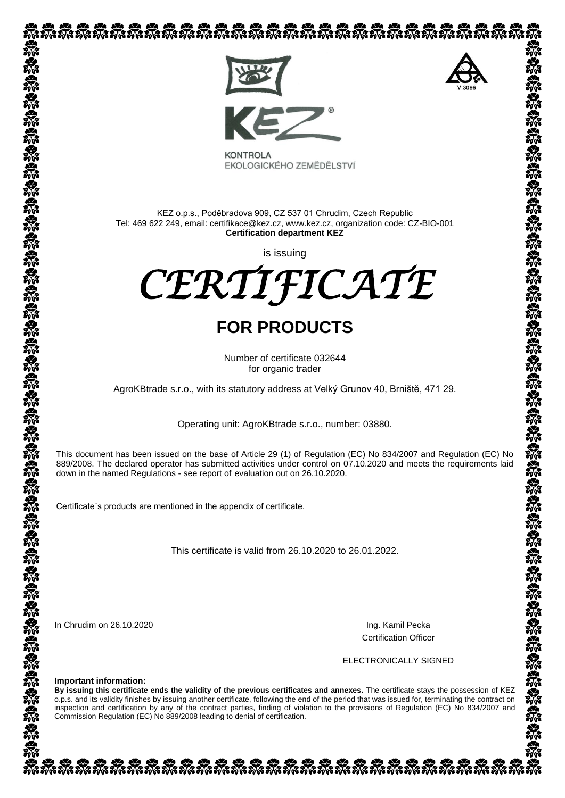

EKOLOGICKÉHO ZEMĚDĚLSTVÍ

KEZ o.p.s., Poděbradova 909, CZ 537 01 Chrudim, Czech Republic Tel: 469 622 249, email: certifikace@kez.cz, www.kez.cz, organization code: CZ-BIO-001 **Certification department KEZ**

is issuing



## **FOR PRODUCTS**

Number of certificate 032644 for organic trader

AgroKBtrade s.r.o., with its statutory address at Velký Grunov 40, Brniště, 471 29.

Operating unit: AgroKBtrade s.r.o., number: 03880.

This document has been issued on the base of Article 29 (1) of Regulation (EC) No 834/2007 and Regulation (EC) No 889/2008. The declared operator has submitted activities under control on 07.10.2020 and meets the requirements laid down in the named Regulations - see [report of](http://slovnik.seznam.cz/search.py?lg=en_cz&wd=reports%20of) evaluation out on 26.10.2020.

Certificate´s products are mentioned in the appendix of certificate.

This certificate is valid from 26.10.2020 to 26.01.2022.

In Chrudim on 26.10.2020 **Ing.** Kamil Pecka

Certification Officer

ELECTRONICALLY SIGNED

**Important information:**

**By issuing this certificate ends the validity of the previous certificates and annexes.** The certificate stays the possession of KEZ o.p.s. and its validity finishes by issuing another certificate, following the end of the period that was issued for, terminating the contract on inspection and certification by any of the contract parties, finding of violation to the provisions of Regulation (EC) No 834/2007 and Commission Regulation (EC) No 889/2008 leading to denial of certification.